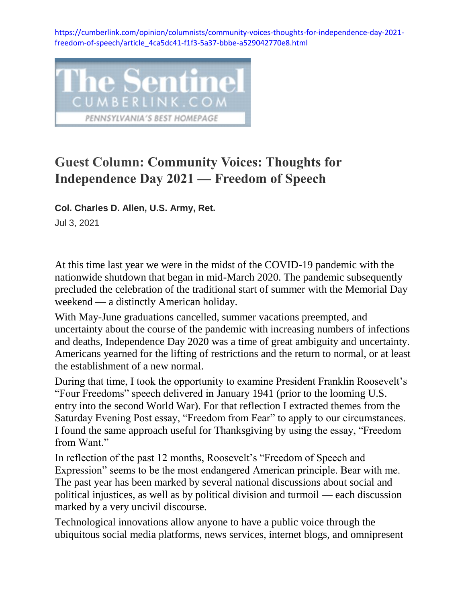[https://cumberlink.com/opinion/columnists/community-voices-thoughts-for-independence-day-2021](https://cumberlink.com/opinion/columnists/community-voices-thoughts-for-independence-day-2021-freedom-of-speech/article_4ca5dc41-f1f3-5a37-bbbe-a529042770e8.html) [freedom-of-speech/article\\_4ca5dc41-f1f3-5a37-bbbe-a529042770e8.html](https://cumberlink.com/opinion/columnists/community-voices-thoughts-for-independence-day-2021-freedom-of-speech/article_4ca5dc41-f1f3-5a37-bbbe-a529042770e8.html)



## **Guest Column: Community Voices: Thoughts for Independence Day 2021 — Freedom of Speech**

**Col. Charles D. Allen, U.S. Army, Ret.**

Jul 3, 2021

At this time last year we were in the midst of the COVID-19 pandemic with the nationwide shutdown that began in mid-March 2020. The pandemic subsequently precluded the celebration of the traditional start of summer with the Memorial Day weekend — a distinctly American holiday.

With May-June graduations cancelled, summer vacations preempted, and uncertainty about the course of the pandemic with increasing numbers of infections and deaths, Independence Day 2020 was a time of great ambiguity and uncertainty. Americans yearned for the lifting of restrictions and the return to normal, or at least the establishment of a new normal.

During that time, I took the opportunity to examine President Franklin Roosevelt's "Four Freedoms" speech delivered in January 1941 (prior to the looming U.S. entry into the second World War). For that reflection I extracted themes from the Saturday Evening Post essay, "Freedom from Fear" to apply to our circumstances. I found the same approach useful for Thanksgiving by using the essay, "Freedom from Want."

In reflection of the past 12 months, Roosevelt's "Freedom of Speech and Expression" seems to be the most endangered American principle. Bear with me. The past year has been marked by several national discussions about social and political injustices, as well as by political division and turmoil — each discussion marked by a very uncivil discourse.

Technological innovations allow anyone to have a public voice through the ubiquitous social media platforms, news services, internet blogs, and omnipresent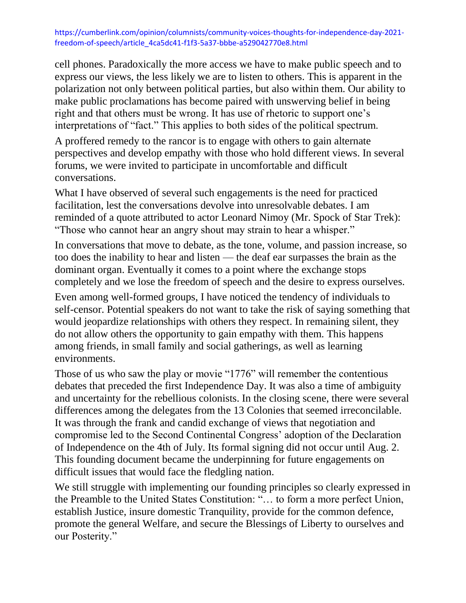## [https://cumberlink.com/opinion/columnists/community-voices-thoughts-for-independence-day-2021](https://cumberlink.com/opinion/columnists/community-voices-thoughts-for-independence-day-2021-freedom-of-speech/article_4ca5dc41-f1f3-5a37-bbbe-a529042770e8.html) [freedom-of-speech/article\\_4ca5dc41-f1f3-5a37-bbbe-a529042770e8.html](https://cumberlink.com/opinion/columnists/community-voices-thoughts-for-independence-day-2021-freedom-of-speech/article_4ca5dc41-f1f3-5a37-bbbe-a529042770e8.html)

cell phones. Paradoxically the more access we have to make public speech and to express our views, the less likely we are to listen to others. This is apparent in the polarization not only between political parties, but also within them. Our ability to make public proclamations has become paired with unswerving belief in being right and that others must be wrong. It has use of rhetoric to support one's interpretations of "fact." This applies to both sides of the political spectrum.

A proffered remedy to the rancor is to engage with others to gain alternate perspectives and develop empathy with those who hold different views. In several forums, we were invited to participate in uncomfortable and difficult conversations.

What I have observed of several such engagements is the need for practiced facilitation, lest the conversations devolve into unresolvable debates. I am reminded of a quote attributed to actor Leonard Nimoy (Mr. Spock of Star Trek): "Those who cannot hear an angry shout may strain to hear a whisper."

In conversations that move to debate, as the tone, volume, and passion increase, so too does the inability to hear and listen — the deaf ear surpasses the brain as the dominant organ. Eventually it comes to a point where the exchange stops completely and we lose the freedom of speech and the desire to express ourselves.

Even among well-formed groups, I have noticed the tendency of individuals to self-censor. Potential speakers do not want to take the risk of saying something that would jeopardize relationships with others they respect. In remaining silent, they do not allow others the opportunity to gain empathy with them. This happens among friends, in small family and social gatherings, as well as learning environments.

Those of us who saw the play or movie "1776" will remember the contentious debates that preceded the first Independence Day. It was also a time of ambiguity and uncertainty for the rebellious colonists. In the closing scene, there were several differences among the delegates from the 13 Colonies that seemed irreconcilable. It was through the frank and candid exchange of views that negotiation and compromise led to the Second Continental Congress' adoption of the Declaration of Independence on the 4th of July. Its formal signing did not occur until Aug. 2. This founding document became the underpinning for future engagements on difficult issues that would face the fledgling nation.

We still struggle with implementing our founding principles so clearly expressed in the Preamble to the United States Constitution: "… to form a more perfect Union, establish Justice, insure domestic Tranquility, provide for the common defence, promote the general Welfare, and secure the Blessings of Liberty to ourselves and our Posterity."